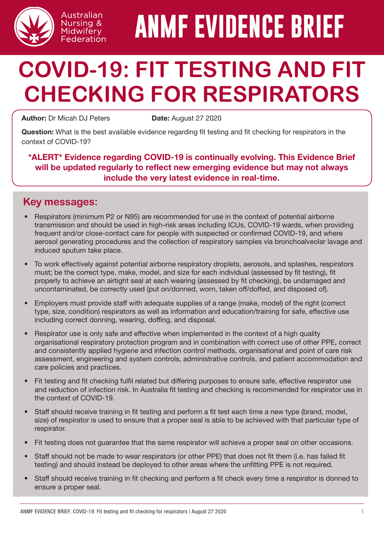

# **ANMF EVIDENCE BRIEF**

# **COVID-19: FIT TESTING AND FIT CHECKING FOR RESPIRATORS**

Author: Dr Micah DJ Peters **Date:** August 27 2020

Australian Nursing & Midwifery Federation

Question: What is the best available evidence regarding fit testing and fit checking for respirators in the context of COVID-19?

\*ALERT\* Evidence regarding COVID-19 is continually evolving. This Evidence Brief will be updated regularly to reflect new emerging evidence but may not always include the very latest evidence in real-time.

## **Key messages:**

- Respirators (minimum P2 or N95) are recommended for use in the context of potential airborne transmission and should be used in high-risk areas including ICUs, COVID-19 wards, when providing frequent and/or close-contact care for people with suspected or confirmed COVID-19, and where aerosol generating procedures and the collection of respiratory samples via bronchoalveolar lavage and induced sputum take place.
- To work effectively against potential airborne respiratory droplets, aerosols, and splashes, respirators must; be the correct type, make, model, and size for each individual (assessed by fit testing), fit properly to achieve an airtight seal at each wearing (assessed by fit checking), be undamaged and uncontaminated, be correctly used (put on/donned, worn, taken off/doffed, and disposed of).
- Employers must provide staff with adequate supplies of a range (make, model) of the right (correct type, size, condition) respirators as well as information and education/training for safe, effective use including correct donning, wearing, doffing, and disposal.
- Respirator use is only safe and effective when implemented in the context of a high quality organisational respiratory protection program and in combination with correct use of other PPE, correct and consistently applied hygiene and infection control methods, organisational and point of care risk assessment, engineering and system controls, administrative controls, and patient accommodation and care policies and practices.
- Fit testing and fit checking fulfil related but differing purposes to ensure safe, effective respirator use and reduction of infection risk. In Australia fit testing and checking is recommended for respirator use in the context of COVID-19.
- Staff should receive training in fit testing and perform a fit test each time a new type (brand, model, size) of respirator is used to ensure that a proper seal is able to be achieved with that particular type of respirator.
- Fit testing does not guarantee that the same respirator will achieve a proper seal on other occasions.
- Staff should not be made to wear respirators (or other PPE) that does not fit them (i.e. has failed fit testing) and should instead be deployed to other areas where the unfitting PPE is not required.
- Staff should receive training in fit checking and perform a fit check every time a respirator is donned to ensure a proper seal.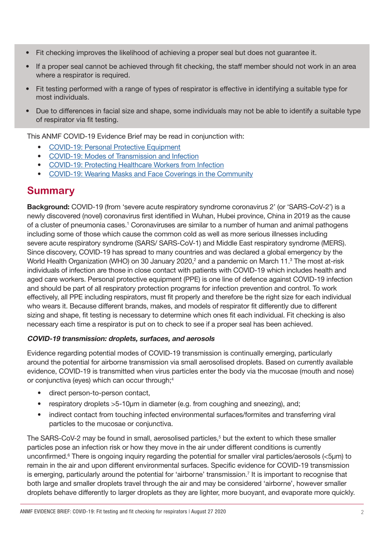- Fit checking improves the likelihood of achieving a proper seal but does not guarantee it.
- If a proper seal cannot be achieved through fit checking, the staff member should not work in an area where a respirator is required.
- Fit testing performed with a range of types of respirator is effective in identifying a suitable type for most individuals.
- Due to differences in facial size and shape, some individuals may not be able to identify a suitable type of respirator via fit testing.

This ANMF COVID-19 Evidence Brief may be read in conjunction with:

- [COVID-19: Personal Protective Equipment](http://www.anmf.org.au/documents/ANMF_Evidence_Brief_COVID-19-PPE.pdf)
- [COVID-19: Modes of Transmission and Infection](http://www.anmf.org.au/documents/ANMF_Evidence_Brief_COVID-19-Modes_of_transmission_and_infection.pdf)
- [COVID-19: Protecting Healthcare Workers from Infection](http://www.anmf.org.au/documents/ANMF_Evidence_Brief_COVID-19-Protecting_healthcare_workers_from_infection.pdf)
- [COVID-19: Wearing Masks and Face Coverings in the Community](http://www.anmf.org.au/documents/ANMF_Evidence_Brief_COVID-19-Public_Masks.pdf)

### **Summary**

Background: COVID-19 (from 'severe acute respiratory syndrome coronavirus 2' (or 'SARS-CoV-2') is a newly discovered (novel) coronavirus first identified in Wuhan, Hubei province, China in 2019 as the cause of a cluster of pneumonia cases.<sup>1</sup> Coronaviruses are similar to a number of human and animal pathogens including some of those which cause the common cold as well as more serious illnesses including severe acute respiratory syndrome (SARS/ SARS-CoV-1) and Middle East respiratory syndrome (MERS). Since discovery, COVID-19 has spread to many countries and was declared a global emergency by the World Health Organization (WHO) on 30 January 2020,<sup>2</sup> and a pandemic on March 11.<sup>3</sup> The most at-risk individuals of infection are those in close contact with patients with COVID-19 which includes health and aged care workers. Personal protective equipment (PPE) is one line of defence against COVID-19 infection and should be part of all respiratory protection programs for infection prevention and control. To work effectively, all PPE including respirators, must fit properly and therefore be the right size for each individual who wears it. Because different brands, makes, and models of respirator fit differently due to different sizing and shape, fit testing is necessary to determine which ones fit each individual. Fit checking is also necessary each time a respirator is put on to check to see if a proper seal has been achieved.

#### COVID-19 transmission: droplets, surfaces, and aerosols

Evidence regarding potential modes of COVID-19 transmission is continually emerging, particularly around the potential for airborne transmission via small aerosolised droplets. Based on currently available evidence, COVID-19 is transmitted when virus particles enter the body via the mucosae (mouth and nose) or conjunctiva (eyes) which can occur through;<sup>4</sup>

- direct person-to-person contact,
- respiratory droplets >5-10μm in diameter (e.g. from coughing and sneezing), and;
- indirect contact from touching infected environmental surfaces/formites and transferring viral particles to the mucosae or conjunctiva.

The SARS-CoV-2 may be found in small, aerosolised particles,<sup>5</sup> but the extent to which these smaller particles pose an infection risk or how they move in the air under different conditions is currently unconfirmed.<sup>6</sup> There is ongoing inquiry regarding the potential for smaller viral particles/aerosols (<5μm) to remain in the air and upon different environmental surfaces. Specific evidence for COVID-19 transmission is emerging, particularly around the potential for 'airborne' transmission.<sup>7</sup> It is important to recognise that both large and smaller droplets travel through the air and may be considered 'airborne', however smaller droplets behave differently to larger droplets as they are lighter, more buoyant, and evaporate more quickly.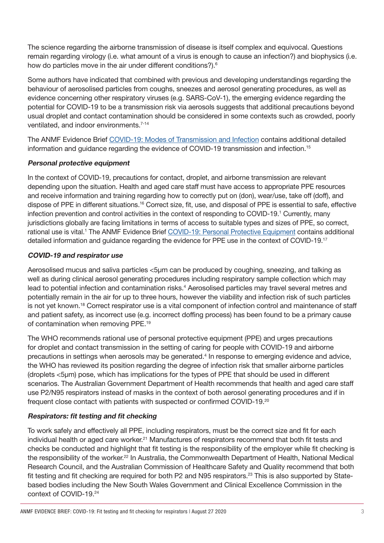The science regarding the airborne transmission of disease is itself complex and equivocal. Questions remain regarding virology (i.e. what amount of a virus is enough to cause an infection?) and biophysics (i.e. how do particles move in the air under different conditions?).<sup>6</sup>

Some authors have indicated that combined with previous and developing understandings regarding the behaviour of aerosolised particles from coughs, sneezes and aerosol generating procedures, as well as evidence concerning other respiratory viruses (e.g. SARS-CoV-1), the emerging evidence regarding the potential for COVID-19 to be a transmission risk via aerosols suggests that additional precautions beyond usual droplet and contact contamination should be considered in some contexts such as crowded, poorly ventilated, and indoor environments.7-14

The ANMF Evidence Brief [COVID-19: Modes of Transmission and Infection](http://www.anmf.org.au/documents/ANMF_Evidence_Brief_COVID-19-Modes_of_transmission_and_infection.pdf) contains additional detailed information and guidance regarding the evidence of COVID-19 transmission and infection.15

#### Personal protective equipment

In the context of COVID-19, precautions for contact, droplet, and airborne transmission are relevant depending upon the situation. Health and aged care staff must have access to appropriate PPE resources and receive information and training regarding how to correctly put on (don), wear/use, take off (doff), and dispose of PPE in different situations.16 Correct size, fit, use, and disposal of PPE is essential to safe, effective infection prevention and control activities in the context of responding to COVID-19.<sup>1</sup> Currently, many jurisdictions globally are facing limitations in terms of access to suitable types and sizes of PPE, so correct, rational use is vital.<sup>1</sup> The ANMF Evidence Brief [COVID-19: Personal Protective Equipment](http://www.anmf.org.au/documents/ANMF_Evidence_Brief_COVID-19-PPE.pdf) contains additional detailed information and guidance regarding the evidence for PPE use in the context of COVID-19.17

#### COVID-19 and respirator use

Aerosolised mucus and saliva particles <5μm can be produced by coughing, sneezing, and talking as well as during clinical aerosol generating procedures including respiratory sample collection which may lead to potential infection and contamination risks.<sup>4</sup> Aerosolised particles may travel several metres and potentially remain in the air for up to three hours, however the viability and infection risk of such particles is not yet known.<sup>18</sup> Correct respirator use is a vital component of infection control and maintenance of staff and patient safety, as incorrect use (e.g. incorrect doffing process) has been found to be a primary cause of contamination when removing PPE.19

The WHO recommends rational use of personal protective equipment (PPE) and urges precautions for droplet and contact transmission in the setting of caring for people with COVID-19 and airborne precautions in settings when aerosols may be generated.<sup>4</sup> In response to emerging evidence and advice, the WHO has reviewed its position regarding the degree of infection risk that smaller airborne particles (droplets <5μm) pose, which has implications for the types of PPE that should be used in different scenarios. The Australian Government Department of Health recommends that health and aged care staff use P2/N95 respirators instead of masks in the context of both aerosol generating procedures and if in frequent close contact with patients with suspected or confirmed COVID-19.20

#### Respirators: fit testing and fit checking

To work safely and effectively all PPE, including respirators, must be the correct size and fit for each individual health or aged care worker.<sup>21</sup> Manufactures of respirators recommend that both fit tests and checks be conducted and highlight that fit testing is the responsibility of the employer while fit checking is the responsibility of the worker.<sup>22</sup> In Australia, the Commonwealth Department of Health, National Medical Research Council, and the Australian Commission of Healthcare Safety and Quality recommend that both fit testing and fit checking are required for both P2 and N95 respirators.<sup>23</sup> This is also supported by Statebased bodies including the New South Wales Government and Clinical Excellence Commission in the context of COVID-19.24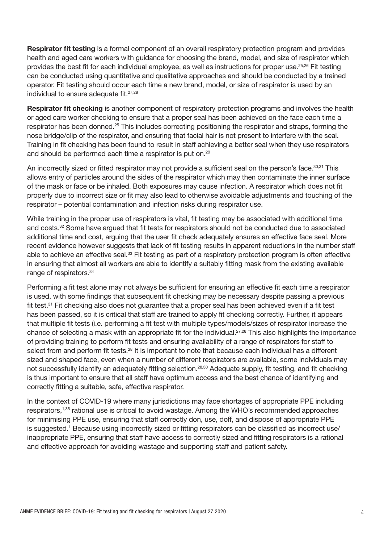Respirator fit testing is a formal component of an overall respiratory protection program and provides health and aged care workers with guidance for choosing the brand, model, and size of respirator which provides the best fit for each individual employee, as well as instructions for proper use.25,26 Fit testing can be conducted using quantitative and qualitative approaches and should be conducted by a trained operator. Fit testing should occur each time a new brand, model, or size of respirator is used by an individual to ensure adequate fit.<sup>27,28</sup>

Respirator fit checking is another component of respiratory protection programs and involves the health or aged care worker checking to ensure that a proper seal has been achieved on the face each time a respirator has been donned.<sup>25</sup> This includes correcting positioning the respirator and straps, forming the nose bridge/clip of the respirator, and ensuring that facial hair is not present to interfere with the seal. Training in fit checking has been found to result in staff achieving a better seal when they use respirators and should be performed each time a respirator is put on.<sup>29</sup>

An incorrectly sized or fitted respirator may not provide a sufficient seal on the person's face.<sup>30,31</sup> This allows entry of particles around the sides of the respirator which may then contaminate the inner surface of the mask or face or be inhaled. Both exposures may cause infection. A respirator which does not fit properly due to incorrect size or fit may also lead to otherwise avoidable adjustments and touching of the respirator – potential contamination and infection risks during respirator use.

While training in the proper use of respirators is vital, fit testing may be associated with additional time and costs.32 Some have argued that fit tests for respirators should not be conducted due to associated additional time and cost, arguing that the user fit check adequately ensures an effective face seal. More recent evidence however suggests that lack of fit testing results in apparent reductions in the number staff able to achieve an effective seal.<sup>33</sup> Fit testing as part of a respiratory protection program is often effective in ensuring that almost all workers are able to identify a suitably fitting mask from the existing available range of respirators.<sup>34</sup>

Performing a fit test alone may not always be sufficient for ensuring an effective fit each time a respirator is used, with some findings that subsequent fit checking may be necessary despite passing a previous fit test.<sup>31</sup> Fit checking also does not guarantee that a proper seal has been achieved even if a fit test has been passed, so it is critical that staff are trained to apply fit checking correctly. Further, it appears that multiple fit tests (i.e. performing a fit test with multiple types/models/sizes of respirator increase the chance of selecting a mask with an appropriate fit for the individual.<sup>27,28</sup> This also highlights the importance of providing training to perform fit tests and ensuring availability of a range of respirators for staff to select from and perform fit tests.<sup>28</sup> It is important to note that because each individual has a different sized and shaped face, even when a number of different respirators are available, some individuals may not successfully identify an adequately fitting selection.28,30 Adequate supply, fit testing, and fit checking is thus important to ensure that all staff have optimum access and the best chance of identifying and correctly fitting a suitable, safe, effective respirator.

In the context of COVID-19 where many jurisdictions may face shortages of appropriate PPE including respirators,1,35 rational use is critical to avoid wastage. Among the WHO's recommended approaches for minimising PPE use, ensuring that staff correctly don, use, doff, and dispose of appropriate PPE is suggested.<sup>1</sup> Because using incorrectly sized or fitting respirators can be classified as incorrect use/ inappropriate PPE, ensuring that staff have access to correctly sized and fitting respirators is a rational and effective approach for avoiding wastage and supporting staff and patient safety.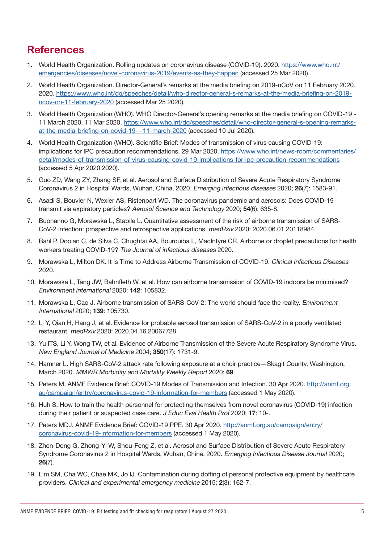# **References**

- 1. World Health Organization. Rolling updates on coronavirus disease (COVID-19). 2020. [https://www.who.int/](https://www.who.int/emergencies/diseases/novel-coronavirus-2019/events-as-they-happen) [emergencies/diseases/novel-coronavirus-2019/events-as-they-happen](https://www.who.int/emergencies/diseases/novel-coronavirus-2019/events-as-they-happen) (accessed 25 Mar 2020).
- 2. World Health Organization. Director-General's remarks at the media briefing on 2019-nCoV on 11 February 2020. 2020. [https://www.who.int/dg/speeches/detail/who-director-general-s-remarks-at-the-media-briefing-on-2019](https://www.who.int/dg/speeches/detail/who-director-general-s-remarks-at-the-media-briefing-on-2019-ncov-on-11-february-2020) [ncov-on-11-february-2020](https://www.who.int/dg/speeches/detail/who-director-general-s-remarks-at-the-media-briefing-on-2019-ncov-on-11-february-2020) (accessed Mar 25 2020).
- 3. World Health Organization (WHO). WHO Director-General's opening remarks at the media briefing on COVID-19 11 March 2020. 11 Mar 2020. [https://www.who.int/dg/speeches/detail/who-director-general-s-opening-remarks](https://www.who.int/dg/speeches/detail/who-director-general-s-opening-remarks-at-the-media-briefing-on-covid-19---11-march-2020)[at-the-media-briefing-on-covid-19---11-march-2020](https://www.who.int/dg/speeches/detail/who-director-general-s-opening-remarks-at-the-media-briefing-on-covid-19---11-march-2020) (accessed 10 Jul 2020).
- 4. World Health Organization (WHO). Scientific Brief: Modes of transmission of virus causing COVID-19: implications for IPC precaution recommendations. 29 Mar 2020. [https://www.who.int/news-room/commentaries/](https://www.who.int/news-room/commentaries/detail/modes-of-transmission-of-virus-causing-covid-19-implications-for-ipc-precaution-recommendations) [detail/modes-of-transmission-of-virus-causing-covid-19-implications-for-ipc-precaution-recommendations](https://www.who.int/news-room/commentaries/detail/modes-of-transmission-of-virus-causing-covid-19-implications-for-ipc-precaution-recommendations) (accessed 5 Apr 2020 2020).
- 5. Guo ZD, Wang ZY, Zhang SF, et al. Aerosol and Surface Distribution of Severe Acute Respiratory Syndrome Coronavirus 2 in Hospital Wards, Wuhan, China, 2020. Emerging infectious diseases 2020; 26(7): 1583-91.
- 6. Asadi S, Bouvier N, Wexler AS, Ristenpart WD. The coronavirus pandemic and aerosols: Does COVID-19 transmit via expiratory particles? Aerosol Science and Technology 2020; 54(6): 635-8.
- 7. Buonanno G, Morawska L, Stabile L. Quantitative assessment of the risk of airborne transmission of SARS-CoV-2 infection: prospective and retrospective applications. medRxiv 2020: 2020.06.01.20118984.
- 8. Bahl P, Doolan C, de Silva C, Chughtai AA, Bourouiba L, MacIntyre CR. Airborne or droplet precautions for health workers treating COVID-19? The Journal of infectious diseases 2020.
- 9. Morawska L, Milton DK. It is Time to Address Airborne Transmission of COVID-19. Clinical Infectious Diseases 2020.
- 10. Morawska L, Tang JW, Bahnfleth W, et al. How can airborne transmission of COVID-19 indoors be minimised? Environment international 2020; 142: 105832.
- 11. Morawska L, Cao J. Airborne transmission of SARS-CoV-2: The world should face the reality. Environment International 2020; 139: 105730.
- 12. Li Y, Qian H, Hang J, et al. Evidence for probable aerosol transmission of SARS-CoV-2 in a poorly ventilated restaurant. medRxiv 2020: 2020.04.16.20067728.
- 13. Yu ITS, Li Y, Wong TW, et al. Evidence of Airborne Transmission of the Severe Acute Respiratory Syndrome Virus. New England Journal of Medicine 2004; 350(17): 1731-9.
- 14. Hamner L. High SARS-CoV-2 attack rate following exposure at a choir practice—Skagit County, Washington, March 2020. MMWR Morbidity and Mortality Weekly Report 2020; 69.
- 15. Peters M. ANMF Evidence Brief: COVID-19 Modes of Transmission and Infection. 30 Apr 2020. [http://anmf.org.](http://anmf.org.au/campaign/entry/coronavirus-covid-19-information-for-members) [au/campaign/entry/coronavirus-covid-19-information-for-members](http://anmf.org.au/campaign/entry/coronavirus-covid-19-information-for-members) (accessed 1 May 2020).
- 16. Huh S. How to train the health personnel for protecting themselves from novel coronavirus (COVID-19) infection during their patient or suspected case care. J Educ Eval Health Prof 2020; 17: 10-.
- 17. Peters MDJ. ANMF Evidence Brief: COVID-19 PPE. 30 Apr 2020. [http://anmf.org.au/campaign/entry/](http://anmf.org.au/campaign/entry/coronavirus-covid-19-information-for-members) [coronavirus-covid-19-information-for-members](http://anmf.org.au/campaign/entry/coronavirus-covid-19-information-for-members) (accessed 1 May 2020).
- 18. Zhen-Dong G, Zhong-Yi W, Shou-Feng Z, et al. Aerosol and Surface Distribution of Severe Acute Respiratory Syndrome Coronavirus 2 in Hospital Wards, Wuhan, China, 2020. Emerging Infectious Disease Journal 2020; 26(7).
- 19. Lim SM, Cha WC, Chae MK, Jo IJ. Contamination during doffing of personal protective equipment by healthcare providers. Clinical and experimental emergency medicine 2015; 2(3): 162-7.